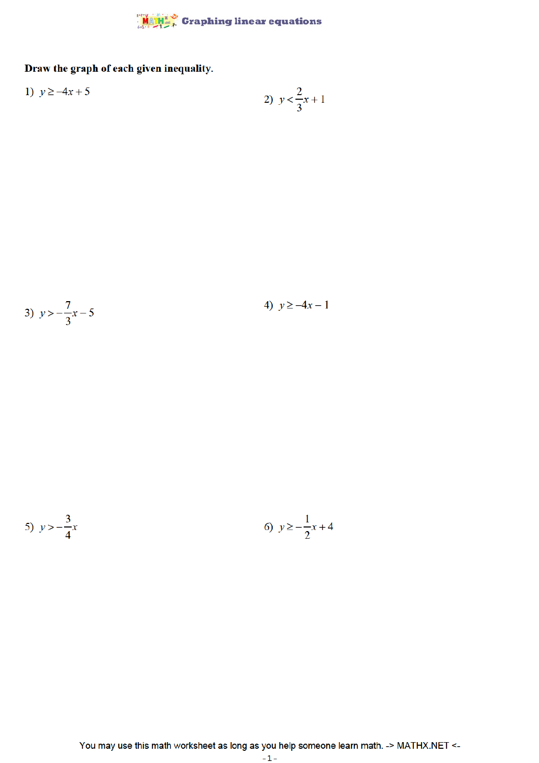

## Draw the graph of each given inequality.

1) 
$$
y \ge -4x + 5
$$
  
2)  $y < \frac{2}{3}x + 1$ 

3) 
$$
y > -\frac{7}{3}x - 5
$$

4)  $y \ge -4x - 1$ 

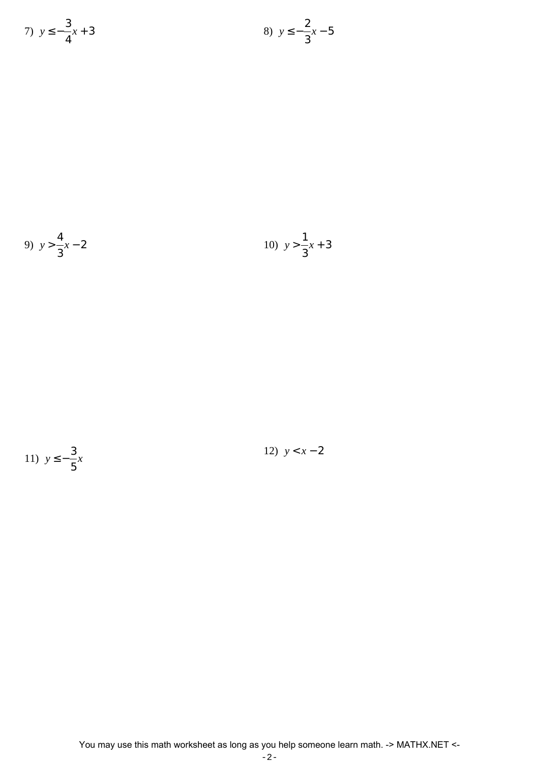7) 
$$
y \le -\frac{3}{4}x + 3
$$
  
8)  $y \le -\frac{2}{3}x - 5$ 

9) 
$$
y > \frac{4}{3}x - 2
$$
  
10)  $y > \frac{1}{3}x + 3$ 



12)  $y < x - 2$ 

You may use this math worksheet as long as you help someone learn math. -> MATHX.NET <-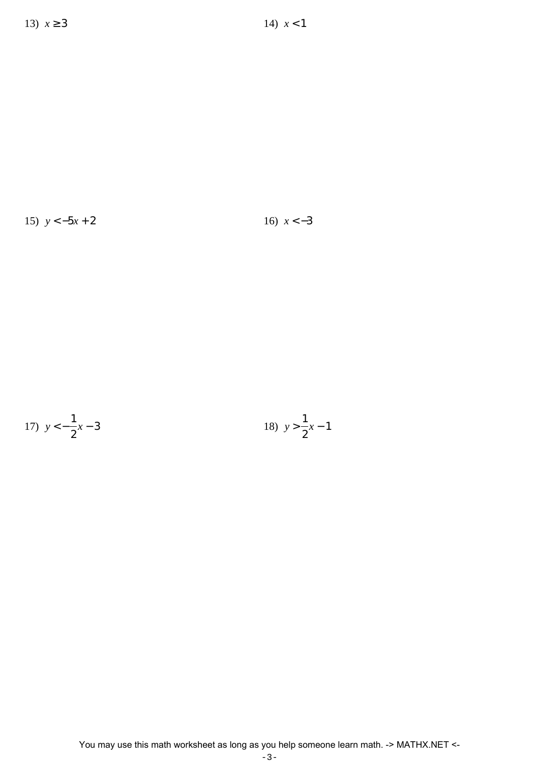15) *y* < −5*x* + 2 16) *x* < −3

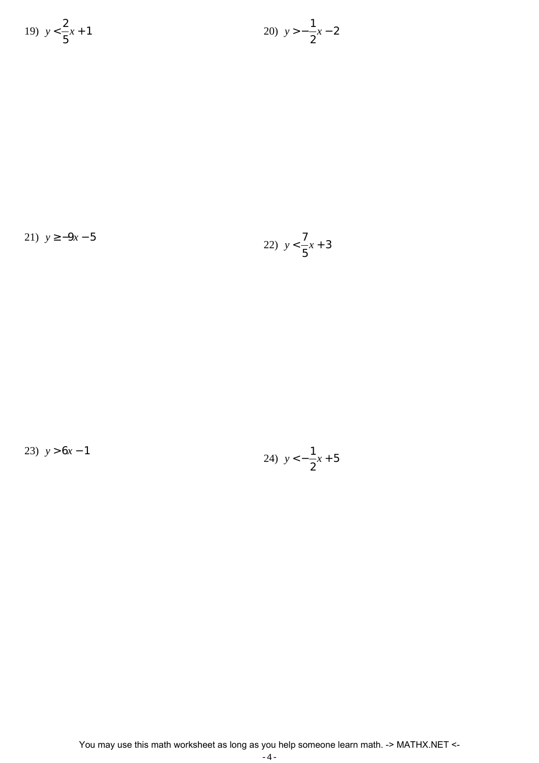19) 
$$
y < \frac{2}{5}x + 1
$$
  
20)  $y > -\frac{1}{2}x - 2$ 

21)  $y \ge -9x - 5$ 22) *y* < 7 5 *x* + 3

23)  $y > 6x - 1$ 

24) 
$$
y < -\frac{1}{2}x + 5
$$

You may use this math worksheet as long as you help someone learn math. -> MATHX.NET <-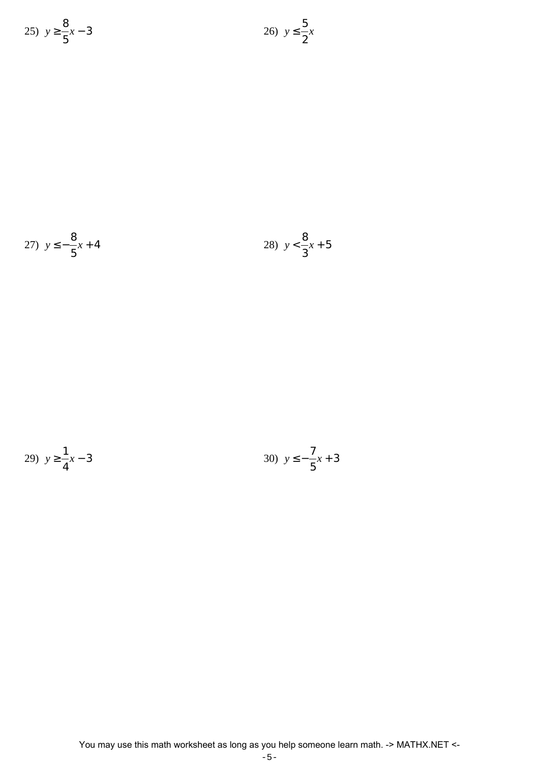25) 
$$
y \ge \frac{8}{5}x - 3
$$
  
26)  $y \le \frac{5}{2}x$ 

27) 
$$
y \le -\frac{8}{5}x + 4
$$
  
28)  $y < \frac{8}{3}x + 5$ 

29) 
$$
y \ge \frac{1}{4}x - 3
$$
  
30)  $y \le -\frac{7}{5}x + 3$ 

You may use this math worksheet as long as you help someone learn math. -> MATHX.NET <-

$$
-5\,-
$$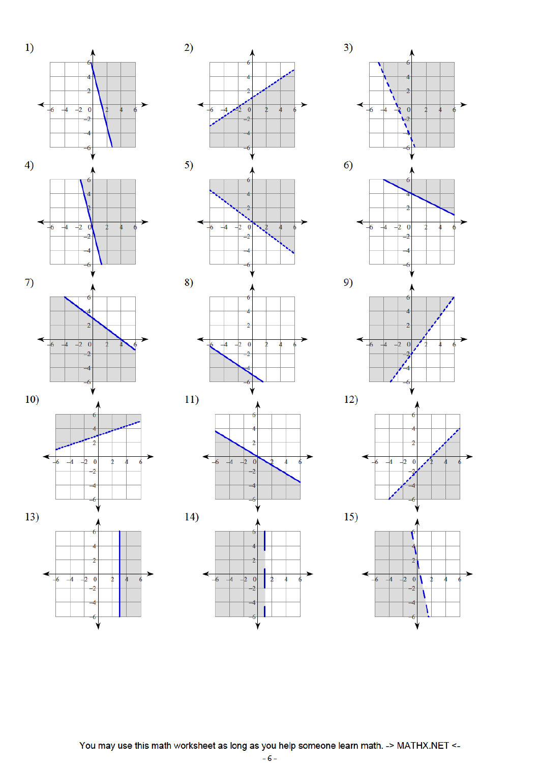